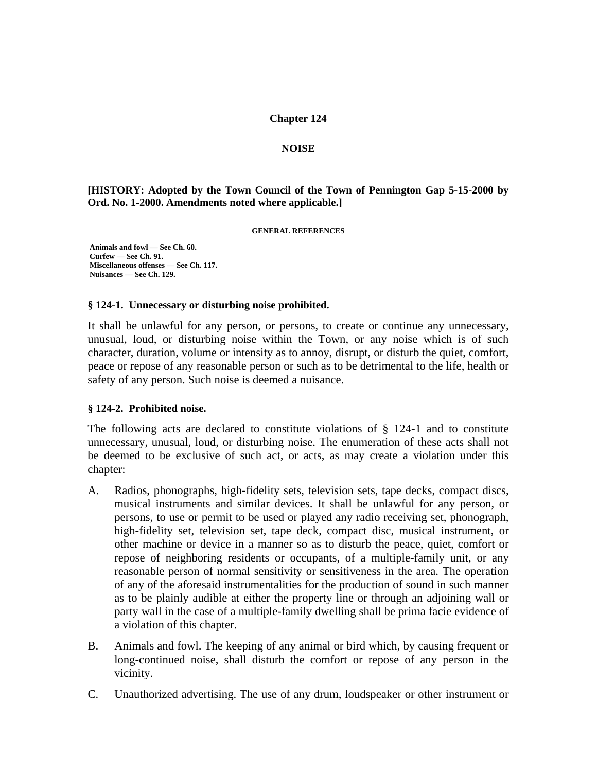### **Chapter 124**

#### **NOISE**

**[HISTORY: Adopted by the Town Council of the Town of Pennington Gap 5-15-2000 by Ord. No. 1-2000. Amendments noted where applicable.]** 

**GENERAL REFERENCES** 

 **Animals and fowl — See Ch. 60. Curfew — See Ch. 91. Miscellaneous offenses — See Ch. 117. Nuisances — See Ch. 129.** 

#### **§ 124-1. Unnecessary or disturbing noise prohibited.**

It shall be unlawful for any person, or persons, to create or continue any unnecessary, unusual, loud, or disturbing noise within the Town, or any noise which is of such character, duration, volume or intensity as to annoy, disrupt, or disturb the quiet, comfort, peace or repose of any reasonable person or such as to be detrimental to the life, health or safety of any person. Such noise is deemed a nuisance.

### **§ 124-2. Prohibited noise.**

The following acts are declared to constitute violations of  $\S$  124-1 and to constitute unnecessary, unusual, loud, or disturbing noise. The enumeration of these acts shall not be deemed to be exclusive of such act, or acts, as may create a violation under this chapter:

- A. Radios, phonographs, high-fidelity sets, television sets, tape decks, compact discs, musical instruments and similar devices. It shall be unlawful for any person, or persons, to use or permit to be used or played any radio receiving set, phonograph, high-fidelity set, television set, tape deck, compact disc, musical instrument, or other machine or device in a manner so as to disturb the peace, quiet, comfort or repose of neighboring residents or occupants, of a multiple-family unit, or any reasonable person of normal sensitivity or sensitiveness in the area. The operation of any of the aforesaid instrumentalities for the production of sound in such manner as to be plainly audible at either the property line or through an adjoining wall or party wall in the case of a multiple-family dwelling shall be prima facie evidence of a violation of this chapter.
- B. Animals and fowl. The keeping of any animal or bird which, by causing frequent or long-continued noise, shall disturb the comfort or repose of any person in the vicinity.
- C. Unauthorized advertising. The use of any drum, loudspeaker or other instrument or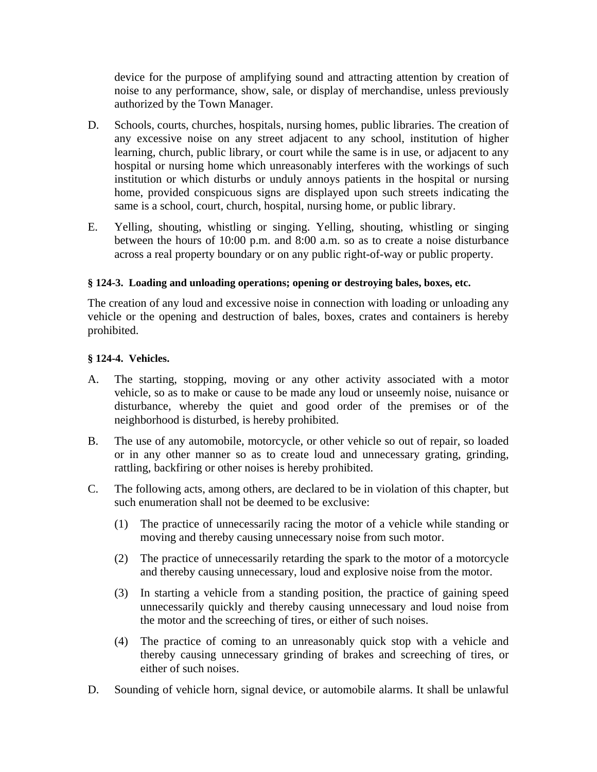device for the purpose of amplifying sound and attracting attention by creation of noise to any performance, show, sale, or display of merchandise, unless previously authorized by the Town Manager.

- D. Schools, courts, churches, hospitals, nursing homes, public libraries. The creation of any excessive noise on any street adjacent to any school, institution of higher learning, church, public library, or court while the same is in use, or adjacent to any hospital or nursing home which unreasonably interferes with the workings of such institution or which disturbs or unduly annoys patients in the hospital or nursing home, provided conspicuous signs are displayed upon such streets indicating the same is a school, court, church, hospital, nursing home, or public library.
- E. Yelling, shouting, whistling or singing. Yelling, shouting, whistling or singing between the hours of 10:00 p.m. and 8:00 a.m. so as to create a noise disturbance across a real property boundary or on any public right-of-way or public property.

# **§ 124-3. Loading and unloading operations; opening or destroying bales, boxes, etc.**

The creation of any loud and excessive noise in connection with loading or unloading any vehicle or the opening and destruction of bales, boxes, crates and containers is hereby prohibited.

## **§ 124-4. Vehicles.**

- A. The starting, stopping, moving or any other activity associated with a motor vehicle, so as to make or cause to be made any loud or unseemly noise, nuisance or disturbance, whereby the quiet and good order of the premises or of the neighborhood is disturbed, is hereby prohibited.
- B. The use of any automobile, motorcycle, or other vehicle so out of repair, so loaded or in any other manner so as to create loud and unnecessary grating, grinding, rattling, backfiring or other noises is hereby prohibited.
- C. The following acts, among others, are declared to be in violation of this chapter, but such enumeration shall not be deemed to be exclusive:
	- (1) The practice of unnecessarily racing the motor of a vehicle while standing or moving and thereby causing unnecessary noise from such motor.
	- (2) The practice of unnecessarily retarding the spark to the motor of a motorcycle and thereby causing unnecessary, loud and explosive noise from the motor.
	- (3) In starting a vehicle from a standing position, the practice of gaining speed unnecessarily quickly and thereby causing unnecessary and loud noise from the motor and the screeching of tires, or either of such noises.
	- (4) The practice of coming to an unreasonably quick stop with a vehicle and thereby causing unnecessary grinding of brakes and screeching of tires, or either of such noises.
- D. Sounding of vehicle horn, signal device, or automobile alarms. It shall be unlawful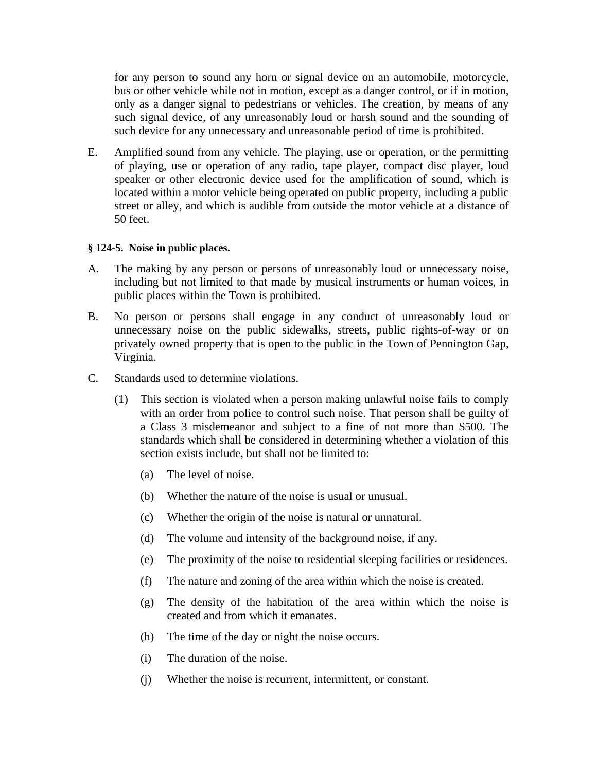for any person to sound any horn or signal device on an automobile, motorcycle, bus or other vehicle while not in motion, except as a danger control, or if in motion, only as a danger signal to pedestrians or vehicles. The creation, by means of any such signal device, of any unreasonably loud or harsh sound and the sounding of such device for any unnecessary and unreasonable period of time is prohibited.

E. Amplified sound from any vehicle. The playing, use or operation, or the permitting of playing, use or operation of any radio, tape player, compact disc player, loud speaker or other electronic device used for the amplification of sound, which is located within a motor vehicle being operated on public property, including a public street or alley, and which is audible from outside the motor vehicle at a distance of 50 feet.

## **§ 124-5. Noise in public places.**

- A. The making by any person or persons of unreasonably loud or unnecessary noise, including but not limited to that made by musical instruments or human voices, in public places within the Town is prohibited.
- B. No person or persons shall engage in any conduct of unreasonably loud or unnecessary noise on the public sidewalks, streets, public rights-of-way or on privately owned property that is open to the public in the Town of Pennington Gap, Virginia.
- C. Standards used to determine violations.
	- (1) This section is violated when a person making unlawful noise fails to comply with an order from police to control such noise. That person shall be guilty of a Class 3 misdemeanor and subject to a fine of not more than \$500. The standards which shall be considered in determining whether a violation of this section exists include, but shall not be limited to:
		- (a) The level of noise.
		- (b) Whether the nature of the noise is usual or unusual.
		- (c) Whether the origin of the noise is natural or unnatural.
		- (d) The volume and intensity of the background noise, if any.
		- (e) The proximity of the noise to residential sleeping facilities or residences.
		- (f) The nature and zoning of the area within which the noise is created.
		- (g) The density of the habitation of the area within which the noise is created and from which it emanates.
		- (h) The time of the day or night the noise occurs.
		- (i) The duration of the noise.
		- (j) Whether the noise is recurrent, intermittent, or constant.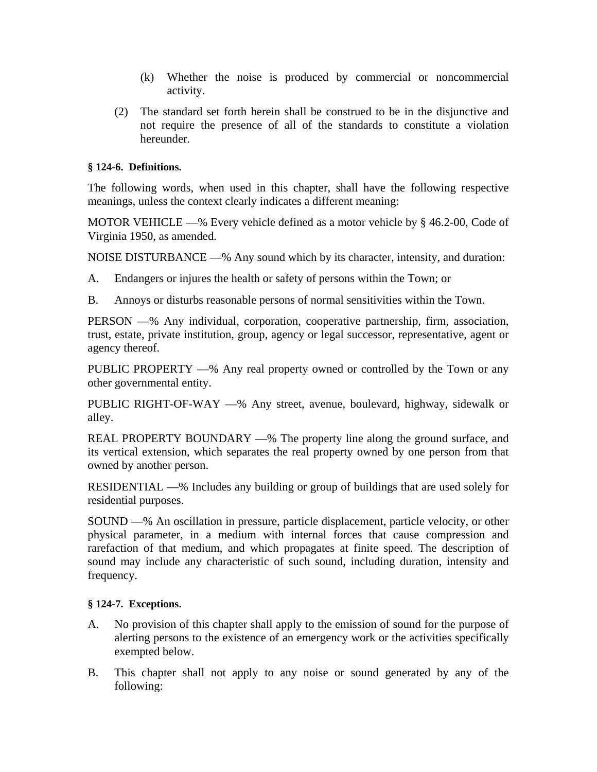- (k) Whether the noise is produced by commercial or noncommercial activity.
- (2) The standard set forth herein shall be construed to be in the disjunctive and not require the presence of all of the standards to constitute a violation hereunder.

# **§ 124-6. Definitions.**

The following words, when used in this chapter, shall have the following respective meanings, unless the context clearly indicates a different meaning:

MOTOR VEHICLE —% Every vehicle defined as a motor vehicle by § 46.2-00, Code of Virginia 1950, as amended.

NOISE DISTURBANCE —% Any sound which by its character, intensity, and duration:

A. Endangers or injures the health or safety of persons within the Town; or

B. Annoys or disturbs reasonable persons of normal sensitivities within the Town.

PERSON —% Any individual, corporation, cooperative partnership, firm, association, trust, estate, private institution, group, agency or legal successor, representative, agent or agency thereof.

PUBLIC PROPERTY —% Any real property owned or controlled by the Town or any other governmental entity.

PUBLIC RIGHT-OF-WAY —% Any street, avenue, boulevard, highway, sidewalk or alley.

REAL PROPERTY BOUNDARY —% The property line along the ground surface, and its vertical extension, which separates the real property owned by one person from that owned by another person.

RESIDENTIAL —% Includes any building or group of buildings that are used solely for residential purposes.

SOUND —% An oscillation in pressure, particle displacement, particle velocity, or other physical parameter, in a medium with internal forces that cause compression and rarefaction of that medium, and which propagates at finite speed. The description of sound may include any characteristic of such sound, including duration, intensity and frequency.

# **§ 124-7. Exceptions.**

- A. No provision of this chapter shall apply to the emission of sound for the purpose of alerting persons to the existence of an emergency work or the activities specifically exempted below.
- B. This chapter shall not apply to any noise or sound generated by any of the following: